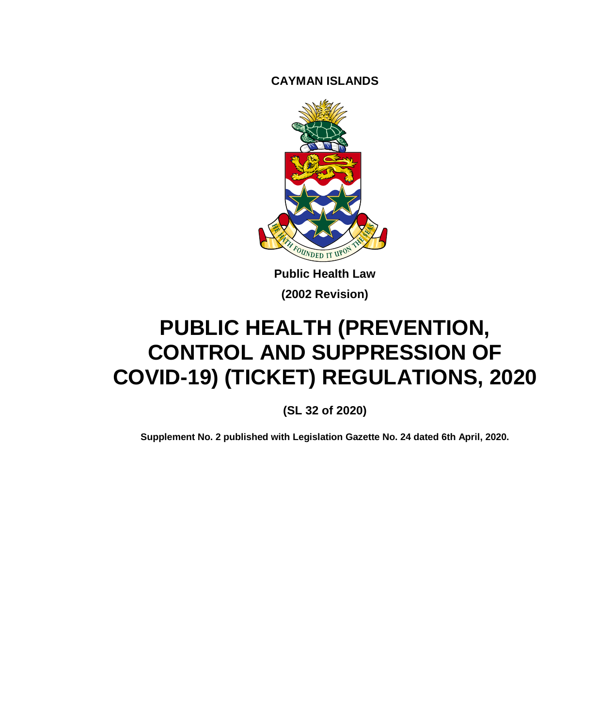**CAYMAN ISLANDS**



**Public Health Law (2002 Revision)**

# **PUBLIC HEALTH (PREVENTION, CONTROL AND SUPPRESSION OF COVID-19) (TICKET) REGULATIONS, 2020**

**(SL 32 of 2020)**

**Supplement No. 2 published with Legislation Gazette No. 24 dated 6th April, 2020.**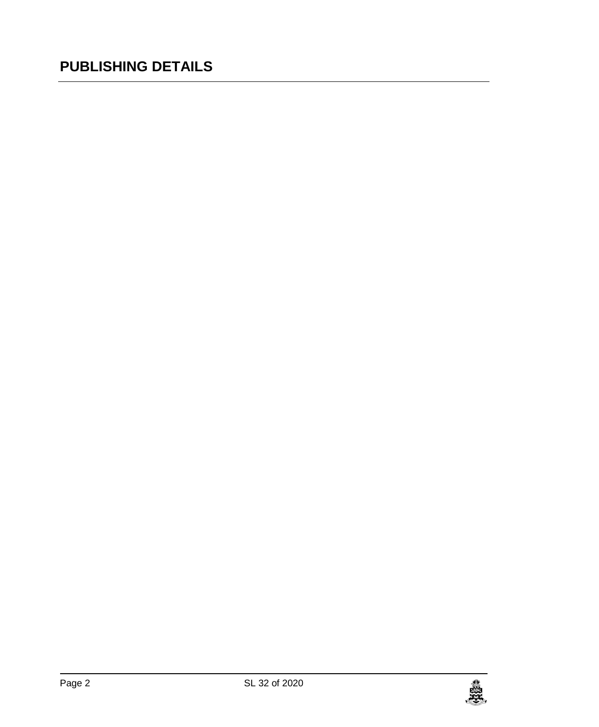# **PUBLISHING DETAILS**

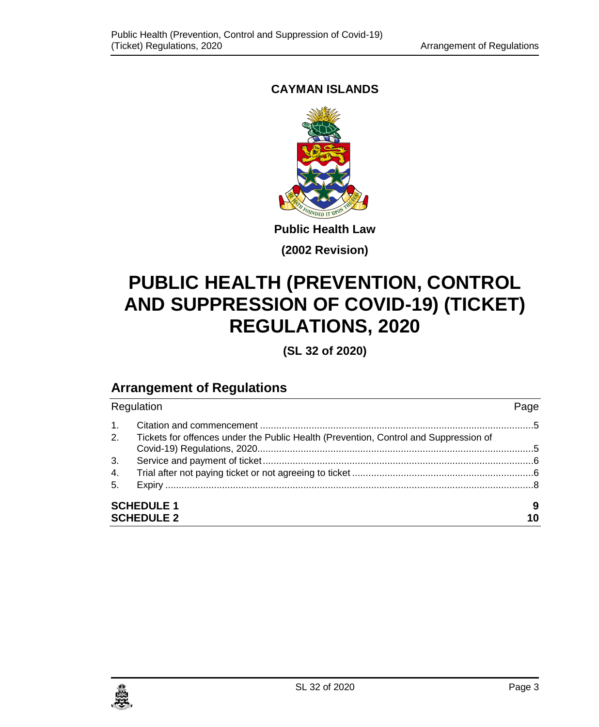## **CAYMAN ISLANDS**



**Public Health Law**

**(2002 Revision)**

# **PUBLIC HEALTH (PREVENTION, CONTROL AND SUPPRESSION OF COVID-19) (TICKET) REGULATIONS, 2020**

**(SL 32 of 2020)**

# **Arrangement of Regulations**

| Regulation             |                                                                                      | Page |
|------------------------|--------------------------------------------------------------------------------------|------|
| $\mathbf{1}$ .<br>2.   | Tickets for offences under the Public Health (Prevention, Control and Suppression of |      |
|                        |                                                                                      |      |
| 3.                     |                                                                                      |      |
| 4.                     |                                                                                      |      |
| 5.                     |                                                                                      |      |
| <b>SCHEDULE 1</b><br>9 |                                                                                      |      |
|                        | <b>SCHEDULE 2</b>                                                                    | 10   |

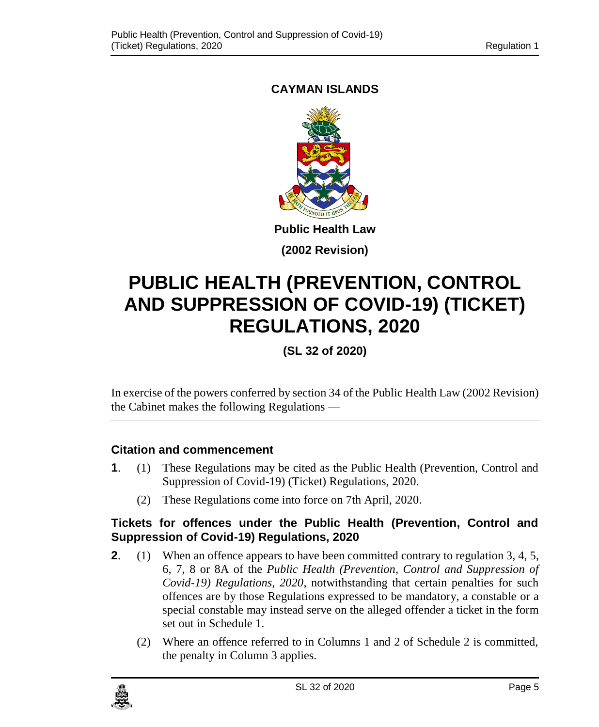## <span id="page-4-0"></span>**CAYMAN ISLANDS**



**(2002 Revision)**

# **PUBLIC HEALTH (PREVENTION, CONTROL AND SUPPRESSION OF COVID-19) (TICKET) REGULATIONS, 2020**

**(SL 32 of 2020)**

In exercise of the powers conferred by section 34 of the Public Health Law (2002 Revision) the Cabinet makes the following Regulations —

### **1. Citation and commencement**

- **1**. (1) These Regulations may be cited as the Public Health (Prevention, Control and Suppression of Covid-19) (Ticket) Regulations, 2020.
	- (2) These Regulations come into force on 7th April, 2020.

#### <span id="page-4-1"></span>**2. Tickets for offences under the Public Health (Prevention, Control and Suppression of Covid-19) Regulations, 2020**

- **2.** (1) When an offence appears to have been committed contrary to regulation 3, 4, 5, 6, 7, 8 or 8A of the *Public Health (Prevention, Control and Suppression of Covid-19) Regulations, 2020*, notwithstanding that certain penalties for such offences are by those Regulations expressed to be mandatory, a constable or a special constable may instead serve on the alleged offender a ticket in the form set out in Schedule 1.
	- (2) Where an offence referred to in Columns 1 and 2 of Schedule 2 is committed, the penalty in Column 3 applies.

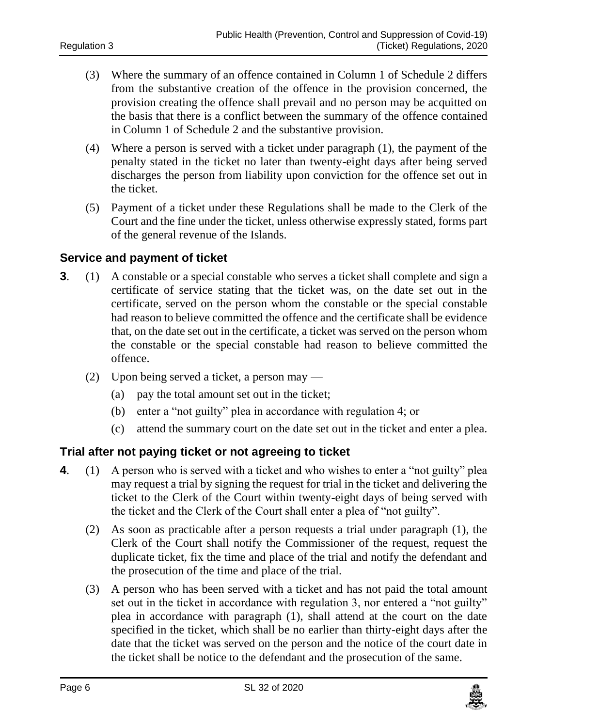- (3) Where the summary of an offence contained in Column 1 of Schedule 2 differs from the substantive creation of the offence in the provision concerned, the provision creating the offence shall prevail and no person may be acquitted on the basis that there is a conflict between the summary of the offence contained in Column 1 of Schedule 2 and the substantive provision.
- (4) Where a person is served with a ticket under paragraph (1), the payment of the penalty stated in the ticket no later than twenty-eight days after being served discharges the person from liability upon conviction for the offence set out in the ticket.
- (5) Payment of a ticket under these Regulations shall be made to the Clerk of the Court and the fine under the ticket, unless otherwise expressly stated, forms part of the general revenue of the Islands.

#### <span id="page-5-0"></span>**3. Service and payment of ticket**

- **3**. (1) A constable or a special constable who serves a ticket shall complete and sign a certificate of service stating that the ticket was, on the date set out in the certificate, served on the person whom the constable or the special constable had reason to believe committed the offence and the certificate shall be evidence that, on the date set out in the certificate, a ticket was served on the person whom the constable or the special constable had reason to believe committed the offence.
	- (2) Upon being served a ticket, a person may
		- (a) pay the total amount set out in the ticket;
		- (b) enter a "not guilty" plea in accordance with regulation 4; or
		- (c) attend the summary court on the date set out in the ticket and enter a plea.

#### <span id="page-5-1"></span>**4. Trial after not paying ticket or not agreeing to ticket**

- **4**. (1) A person who is served with a ticket and who wishes to enter a "not guilty" plea may request a trial by signing the request for trial in the ticket and delivering the ticket to the Clerk of the Court within twenty-eight days of being served with the ticket and the Clerk of the Court shall enter a plea of "not guilty".
	- (2) As soon as practicable after a person requests a trial under paragraph (1), the Clerk of the Court shall notify the Commissioner of the request, request the duplicate ticket, fix the time and place of the trial and notify the defendant and the prosecution of the time and place of the trial.
	- (3) A person who has been served with a ticket and has not paid the total amount set out in the ticket in accordance with regulation 3, nor entered a "not guilty" plea in accordance with paragraph (1), shall attend at the court on the date specified in the ticket, which shall be no earlier than thirty-eight days after the date that the ticket was served on the person and the notice of the court date in the ticket shall be notice to the defendant and the prosecution of the same.

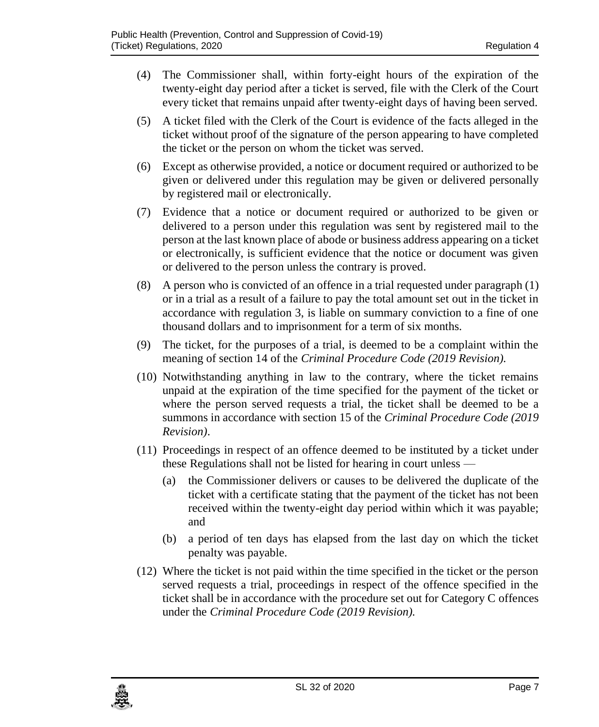- (4) The Commissioner shall, within forty-eight hours of the expiration of the twenty-eight day period after a ticket is served, file with the Clerk of the Court every ticket that remains unpaid after twenty-eight days of having been served.
- (5) A ticket filed with the Clerk of the Court is evidence of the facts alleged in the ticket without proof of the signature of the person appearing to have completed the ticket or the person on whom the ticket was served.
- (6) Except as otherwise provided, a notice or document required or authorized to be given or delivered under this regulation may be given or delivered personally by registered mail or electronically.
- (7) Evidence that a notice or document required or authorized to be given or delivered to a person under this regulation was sent by registered mail to the person at the last known place of abode or business address appearing on a ticket or electronically, is sufficient evidence that the notice or document was given or delivered to the person unless the contrary is proved.
- (8) A person who is convicted of an offence in a trial requested under paragraph (1) or in a trial as a result of a failure to pay the total amount set out in the ticket in accordance with regulation 3, is liable on summary conviction to a fine of one thousand dollars and to imprisonment for a term of six months.
- (9) The ticket, for the purposes of a trial, is deemed to be a complaint within the meaning of section 14 of the *Criminal Procedure Code (2019 Revision).*
- (10) Notwithstanding anything in law to the contrary, where the ticket remains unpaid at the expiration of the time specified for the payment of the ticket or where the person served requests a trial, the ticket shall be deemed to be a summons in accordance with section 15 of the *Criminal Procedure Code (2019 Revision)*.
- (11) Proceedings in respect of an offence deemed to be instituted by a ticket under these Regulations shall not be listed for hearing in court unless —
	- (a) the Commissioner delivers or causes to be delivered the duplicate of the ticket with a certificate stating that the payment of the ticket has not been received within the twenty-eight day period within which it was payable; and
	- (b) a period of ten days has elapsed from the last day on which the ticket penalty was payable.
- (12) Where the ticket is not paid within the time specified in the ticket or the person served requests a trial, proceedings in respect of the offence specified in the ticket shall be in accordance with the procedure set out for Category C offences under the *Criminal Procedure Code (2019 Revision).*

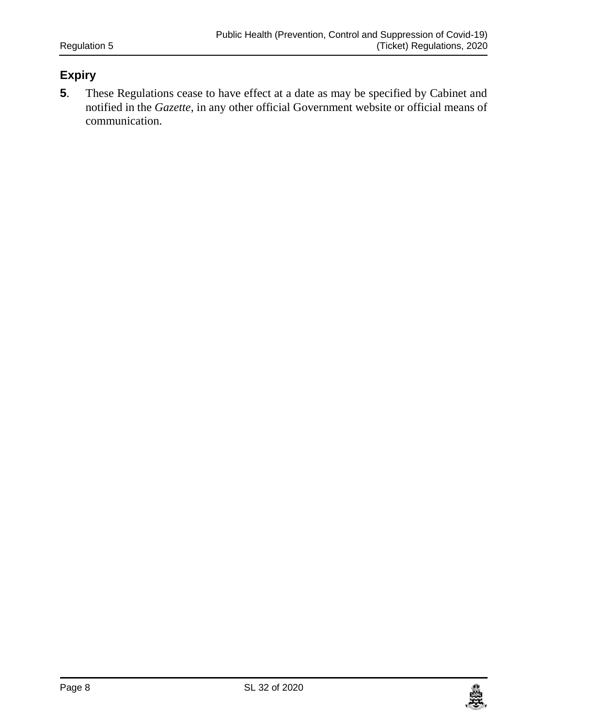## <span id="page-7-0"></span>**5. Expiry**

**5**. These Regulations cease to have effect at a date as may be specified by Cabinet and notified in the *Gazette*, in any other official Government website or official means of communication.

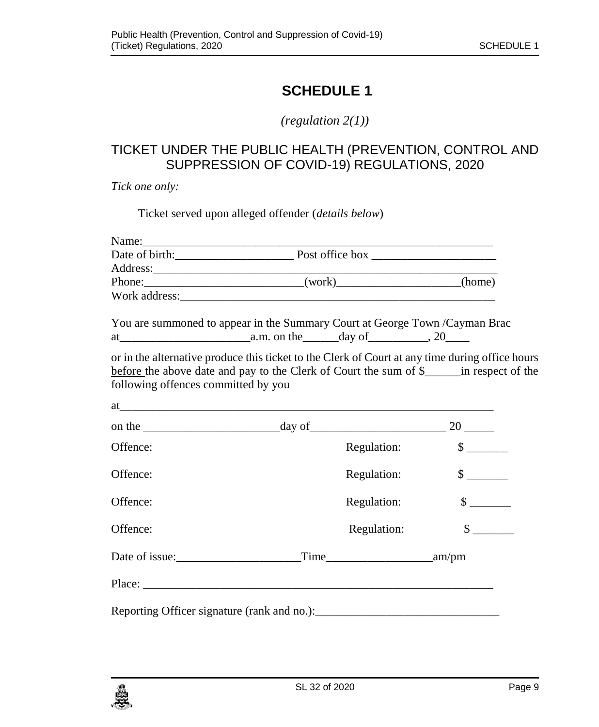# <span id="page-8-0"></span>**SCHEDULE 1**

*(regulation 2(1))*

## TICKET UNDER THE PUBLIC HEALTH (PREVENTION, CONTROL AND SUPPRESSION OF COVID-19) REGULATIONS, 2020

*Tick one only:*

Ticket served upon alleged offender (*details below*)

| Phone: ________________________________(work)______________________(home)                                                              |             |                             |
|----------------------------------------------------------------------------------------------------------------------------------------|-------------|-----------------------------|
|                                                                                                                                        |             |                             |
| You are summoned to appear in the Summary Court at George Town /Cayman Brac                                                            |             |                             |
|                                                                                                                                        |             |                             |
| or in the alternative produce this ticket to the Clerk of Court at any time during office hours<br>following offences committed by you |             |                             |
|                                                                                                                                        |             |                             |
|                                                                                                                                        |             |                             |
| Offence:                                                                                                                               | Regulation: | $\frac{\text{S}}{\text{S}}$ |
| Offence:                                                                                                                               | Regulation: | $\frac{\text{S}}{\text{S}}$ |
| Offence:                                                                                                                               | Regulation: |                             |
| Offence:                                                                                                                               | Regulation: | $\frac{1}{2}$               |
|                                                                                                                                        |             |                             |
|                                                                                                                                        |             |                             |
|                                                                                                                                        |             |                             |

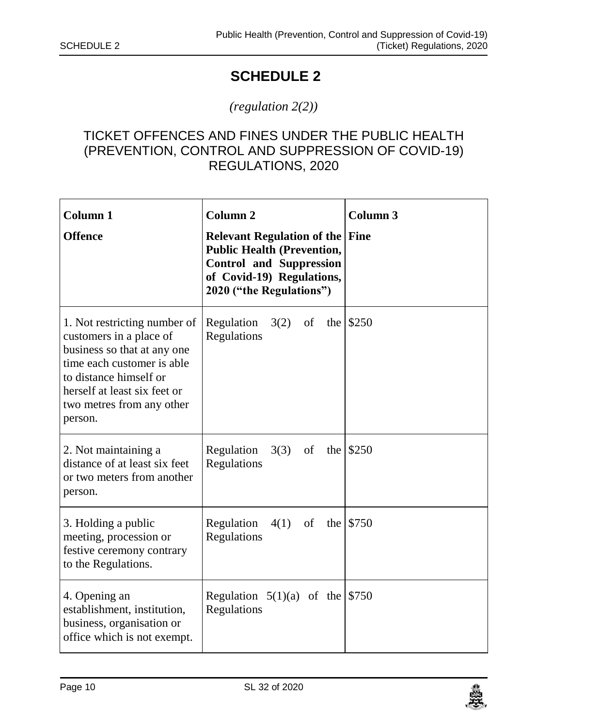# <span id="page-9-0"></span>**SCHEDULE 2**

### *(regulation 2(2))*

## TICKET OFFENCES AND FINES UNDER THE PUBLIC HEALTH (PREVENTION, CONTROL AND SUPPRESSION OF COVID-19) REGULATIONS, 2020

| Column <sub>1</sub><br><b>Offence</b>                                                                                                                                                                                  | Column <sub>2</sub><br><b>Relevant Regulation of the Fine</b><br><b>Public Health (Prevention,</b><br><b>Control and Suppression</b><br>of Covid-19) Regulations,<br>2020 ("the Regulations") | Column <sub>3</sub> |
|------------------------------------------------------------------------------------------------------------------------------------------------------------------------------------------------------------------------|-----------------------------------------------------------------------------------------------------------------------------------------------------------------------------------------------|---------------------|
| 1. Not restricting number of<br>customers in a place of<br>business so that at any one<br>time each customer is able<br>to distance himself or<br>herself at least six feet or<br>two metres from any other<br>person. | 3(2)<br>Regulation<br>of<br>the l<br>Regulations                                                                                                                                              | \$250               |
| 2. Not maintaining a<br>distance of at least six feet<br>or two meters from another<br>person.                                                                                                                         | Regulation<br>3(3)<br>of<br>the<br>Regulations                                                                                                                                                | \$250               |
| 3. Holding a public<br>meeting, procession or<br>festive ceremony contrary<br>to the Regulations.                                                                                                                      | Regulation<br>4(1)<br>of<br>the<br>Regulations                                                                                                                                                | \$750               |
| 4. Opening an<br>establishment, institution,<br>business, organisation or<br>office which is not exempt.                                                                                                               | Regulation $5(1)(a)$ of the<br>Regulations                                                                                                                                                    | \$750               |

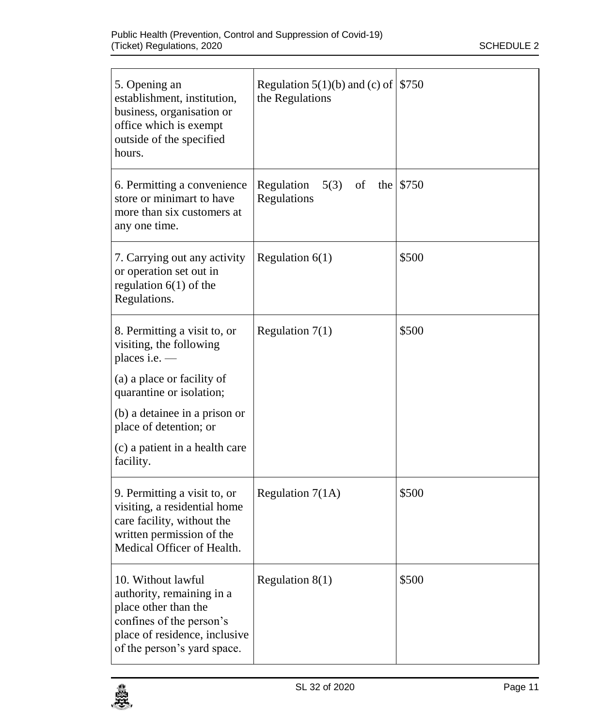| 5. Opening an<br>establishment, institution,<br>business, organisation or<br>office which is exempt<br>outside of the specified<br>hours.                                                                                                    | Regulation 5(1)(b) and (c) of $\frac{15750}{ }$<br>the Regulations |           |
|----------------------------------------------------------------------------------------------------------------------------------------------------------------------------------------------------------------------------------------------|--------------------------------------------------------------------|-----------|
| 6. Permitting a convenience<br>store or minimart to have<br>more than six customers at<br>any one time.                                                                                                                                      | Regulation<br>5(3)<br>of<br>Regulations                            | the \$750 |
| 7. Carrying out any activity<br>or operation set out in<br>regulation $6(1)$ of the<br>Regulations.                                                                                                                                          | Regulation $6(1)$                                                  | \$500     |
| 8. Permitting a visit to, or<br>visiting, the following<br>places i.e. —<br>(a) a place or facility of<br>quarantine or isolation;<br>(b) a detainee in a prison or<br>place of detention; or<br>(c) a patient in a health care<br>facility. | Regulation $7(1)$                                                  | \$500     |
| 9. Permitting a visit to, or<br>visiting, a residential home<br>care facility, without the<br>written permission of the<br>Medical Officer of Health.                                                                                        | Regulation 7(1A)                                                   | \$500     |
| 10. Without lawful<br>authority, remaining in a<br>place other than the<br>confines of the person's<br>place of residence, inclusive<br>of the person's yard space.                                                                          | Regulation $8(1)$                                                  | \$500     |